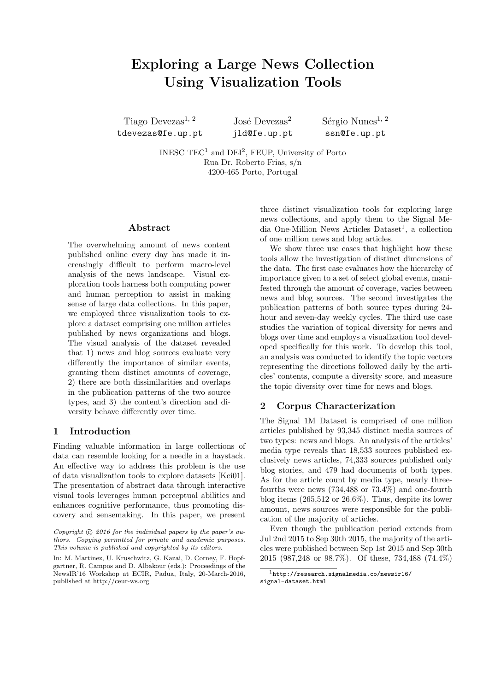# Exploring a Large News Collection Using Visualization Tools

Tiago Devezas<sup>1, 2</sup> tdevezas@fe.up.pt José Devezas<sup>2</sup> jld@fe.up.pt  $Séreio Numer<sup>1, 2</sup>$ ssn@fe.up.pt

INESC  $TEC<sup>1</sup>$  and  $DEI<sup>2</sup>$ , FEUP, University of Porto Rua Dr. Roberto Frias, s/n 4200-465 Porto, Portugal

## Abstract

The overwhelming amount of news content published online every day has made it increasingly difficult to perform macro-level analysis of the news landscape. Visual exploration tools harness both computing power and human perception to assist in making sense of large data collections. In this paper, we employed three visualization tools to explore a dataset comprising one million articles published by news organizations and blogs. The visual analysis of the dataset revealed that 1) news and blog sources evaluate very differently the importance of similar events, granting them distinct amounts of coverage, 2) there are both dissimilarities and overlaps in the publication patterns of the two source types, and 3) the content's direction and diversity behave differently over time.

# 1 Introduction

Finding valuable information in large collections of data can resemble looking for a needle in a haystack. An effective way to address this problem is the use of data visualization tools to explore datasets [\[Kei01\]](#page-5-0). The presentation of abstract data through interactive visual tools leverages human perceptual abilities and enhances cognitive performance, thus promoting discovery and sensemaking. In this paper, we present

three distinct visualization tools for exploring large news collections, and apply them to the Signal Me-dia One-Million News Articles Dataset<sup>[1](#page-0-0)</sup>, a collection of one million news and blog articles.

We show three use cases that highlight how these tools allow the investigation of distinct dimensions of the data. The first case evaluates how the hierarchy of importance given to a set of select global events, manifested through the amount of coverage, varies between news and blog sources. The second investigates the publication patterns of both source types during 24 hour and seven-day weekly cycles. The third use case studies the variation of topical diversity for news and blogs over time and employs a visualization tool developed specifically for this work. To develop this tool, an analysis was conducted to identify the topic vectors representing the directions followed daily by the articles' contents, compute a diversity score, and measure the topic diversity over time for news and blogs.

## 2 Corpus Characterization

The Signal 1M Dataset is comprised of one million articles published by 93,345 distinct media sources of two types: news and blogs. An analysis of the articles' media type reveals that 18,533 sources published exclusively news articles, 74,333 sources published only blog stories, and 479 had documents of both types. As for the article count by media type, nearly threefourths were news (734,488 or 73.4%) and one-fourth blog items (265,512 or 26.6%). Thus, despite its lower amount, news sources were responsible for the publication of the majority of articles.

Even though the publication period extends from Jul 2nd 2015 to Sep 30th 2015, the majority of the articles were published between Sep 1st 2015 and Sep 30th 2015 (987,248 or 98.7%). Of these, 734,488 (74.4%)

Copyright  $\odot$  2016 for the individual papers by the paper's authors. Copying permitted for private and academic purposes. This volume is published and copyrighted by its editors.

In: M. Martinez, U. Kruschwitz, G. Kazai, D. Corney, F. Hopfgartner, R. Campos and D. Albakour (eds.): Proceedings of the NewsIR'16 Workshop at ECIR, Padua, Italy, 20-March-2016, published at http://ceur-ws.org

<span id="page-0-0"></span><sup>1</sup>[http://research.signalmedia.co/newsir16/](http://research.signalmedia.co/newsir16/signal-dataset.html) [signal-dataset.html](http://research.signalmedia.co/newsir16/signal-dataset.html)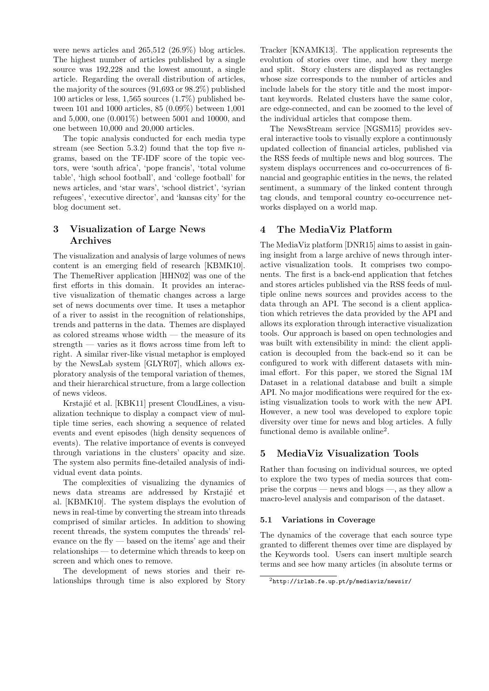were news articles and 265,512 (26.9%) blog articles. The highest number of articles published by a single source was 192,228 and the lowest amount, a single article. Regarding the overall distribution of articles, the majority of the sources (91,693 or 98.2%) published 100 articles or less, 1,565 sources (1.7%) published between 101 and 1000 articles, 85 (0.09%) between 1,001 and 5,000, one (0.001%) between 5001 and 10000, and one between 10,000 and 20,000 articles.

The topic analysis conducted for each media type stream (see Section [5.3.2\)](#page-3-0) found that the top five  $n$ grams, based on the TF-IDF score of the topic vectors, were 'south africa', 'pope francis', 'total volume table', 'high school football', and 'college football' for news articles, and 'star wars', 'school district', 'syrian refugees', 'executive director', and 'kansas city' for the blog document set.

# 3 Visualization of Large News Archives

The visualization and analysis of large volumes of news content is an emerging field of research [\[KBMK10\]](#page-5-1). The ThemeRiver application [\[HHN02\]](#page-4-0) was one of the first efforts in this domain. It provides an interactive visualization of thematic changes across a large set of news documents over time. It uses a metaphor of a river to assist in the recognition of relationships, trends and patterns in the data. Themes are displayed as colored streams whose width — the measure of its strength — varies as it flows across time from left to right. A similar river-like visual metaphor is employed by the NewsLab system [\[GLYR07\]](#page-4-1), which allows exploratory analysis of the temporal variation of themes, and their hierarchical structure, from a large collection of news videos.

Krstajić et al. [\[KBK11\]](#page-5-2) present CloudLines, a visualization technique to display a compact view of multiple time series, each showing a sequence of related events and event episodes (high density sequences of events). The relative importance of events is conveyed through variations in the clusters' opacity and size. The system also permits fine-detailed analysis of individual event data points.

The complexities of visualizing the dynamics of news data streams are addressed by Krstajić et al. [\[KBMK10\]](#page-5-1). The system displays the evolution of news in real-time by converting the stream into threads comprised of similar articles. In addition to showing recent threads, the system computes the threads' relevance on the fly — based on the items' age and their relationships — to determine which threads to keep on screen and which ones to remove.

The development of news stories and their relationships through time is also explored by Story

Tracker [\[KNAMK13\]](#page-5-3). The application represents the evolution of stories over time, and how they merge and split. Story clusters are displayed as rectangles whose size corresponds to the number of articles and include labels for the story title and the most important keywords. Related clusters have the same color, are edge-connected, and can be zoomed to the level of the individual articles that compose them.

The NewsStream service [\[NGSM15\]](#page-5-4) provides several interactive tools to visually explore a continuously updated collection of financial articles, published via the RSS feeds of multiple news and blog sources. The system displays occurrences and co-occurrences of financial and geographic entities in the news, the related sentiment, a summary of the linked content through tag clouds, and temporal country co-occurrence networks displayed on a world map.

# 4 The MediaViz Platform

The MediaViz platform [\[DNR15\]](#page-4-2) aims to assist in gaining insight from a large archive of news through interactive visualization tools. It comprises two components. The first is a back-end application that fetches and stores articles published via the RSS feeds of multiple online news sources and provides access to the data through an API. The second is a client application which retrieves the data provided by the API and allows its exploration through interactive visualization tools. Our approach is based on open technologies and was built with extensibility in mind: the client application is decoupled from the back-end so it can be configured to work with different datasets with minimal effort. For this paper, we stored the Signal 1M Dataset in a relational database and built a simple API. No major modifications were required for the existing visualization tools to work with the new API. However, a new tool was developed to explore topic diversity over time for news and blog articles. A fully functional demo is available online<sup>[2](#page-1-0)</sup>.

# 5 MediaViz Visualization Tools

Rather than focusing on individual sources, we opted to explore the two types of media sources that comprise the corpus — news and blogs —, as they allow a macro-level analysis and comparison of the dataset.

## 5.1 Variations in Coverage

The dynamics of the coverage that each source type granted to different themes over time are displayed by the Keywords tool. Users can insert multiple search terms and see how many articles (in absolute terms or

<span id="page-1-0"></span> $^{2}$ <http://irlab.fe.up.pt/p/mediaviz/newsir/>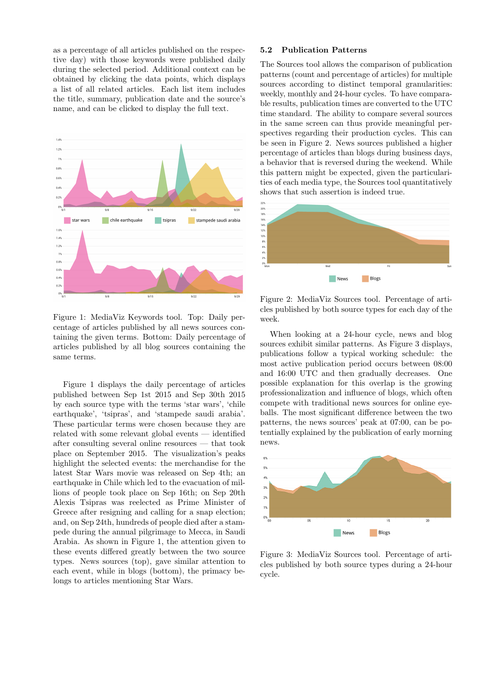as a percentage of all articles published on the respective day) with those keywords were published daily during the selected period. Additional context can be obtained by clicking the data points, which displays a list of all related articles. Each list item includes the title, summary, publication date and the source's name, and can be clicked to display the full text.



<span id="page-2-0"></span>Figure 1: MediaViz Keywords tool. Top: Daily percentage of articles published by all news sources containing the given terms. Bottom: Daily percentage of articles published by all blog sources containing the same terms.

Figure [1](#page-2-0) displays the daily percentage of articles published between Sep 1st 2015 and Sep 30th 2015 by each source type with the terms 'star wars', 'chile earthquake', 'tsipras', and 'stampede saudi arabia'. These particular terms were chosen because they are related with some relevant global events — identified after consulting several online resources — that took place on September 2015. The visualization's peaks highlight the selected events: the merchandise for the latest Star Wars movie was released on Sep 4th; an earthquake in Chile which led to the evacuation of millions of people took place on Sep 16th; on Sep 20th Alexis Tsipras was reelected as Prime Minister of Greece after resigning and calling for a snap election; and, on Sep 24th, hundreds of people died after a stampede during the annual pilgrimage to Mecca, in Saudi Arabia. As shown in Figure [1,](#page-2-0) the attention given to these events differed greatly between the two source types. News sources (top), gave similar attention to each event, while in blogs (bottom), the primacy belongs to articles mentioning Star Wars.

## 5.2 Publication Patterns

The Sources tool allows the comparison of publication patterns (count and percentage of articles) for multiple sources according to distinct temporal granularities: weekly, monthly and 24-hour cycles. To have comparable results, publication times are converted to the UTC time standard. The ability to compare several sources in the same screen can thus provide meaningful perspectives regarding their production cycles. This can be seen in Figure [2.](#page-2-1) News sources published a higher percentage of articles than blogs during business days, a behavior that is reversed during the weekend. While this pattern might be expected, given the particularities of each media type, the Sources tool quantitatively shows that such assertion is indeed true.



<span id="page-2-1"></span>Figure 2: MediaViz Sources tool. Percentage of articles published by both source types for each day of the week.

When looking at a 24-hour cycle, news and blog sources exhibit similar patterns. As Figure [3](#page-2-2) displays, publications follow a typical working schedule: the most active publication period occurs between 08:00 and 16:00 UTC and then gradually decreases. One possible explanation for this overlap is the growing professionalization and influence of blogs, which often compete with traditional news sources for online eyeballs. The most significant difference between the two patterns, the news sources' peak at 07:00, can be potentially explained by the publication of early morning news.



<span id="page-2-2"></span>Figure 3: MediaViz Sources tool. Percentage of articles published by both source types during a 24-hour cycle.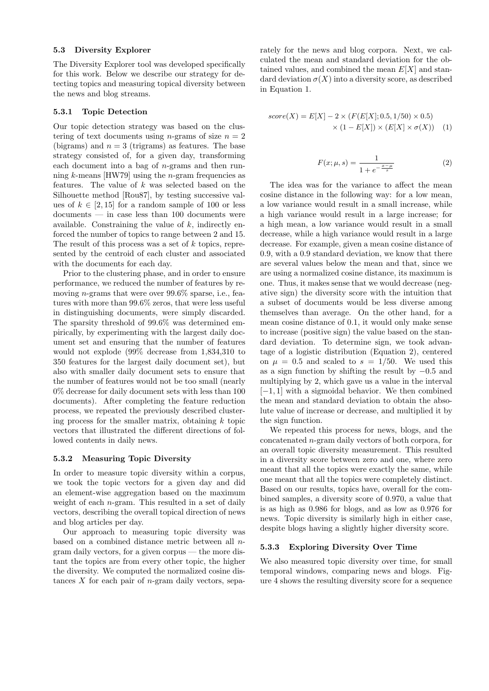### 5.3 Diversity Explorer

The Diversity Explorer tool was developed specifically for this work. Below we describe our strategy for detecting topics and measuring topical diversity between the news and blog streams.

#### 5.3.1 Topic Detection

Our topic detection strategy was based on the clustering of text documents using *n*-grams of size  $n = 2$ (bigrams) and  $n = 3$  (trigrams) as features. The base strategy consisted of, for a given day, transforming each document into a bag of n-grams and then running  $k$ -means [\[HW79\]](#page-4-3) using the *n*-gram frequencies as features. The value of  $k$  was selected based on the Silhouette method [\[Rou87\]](#page-5-5), by testing successive values of  $k \in [2, 15]$  for a random sample of 100 or less documents — in case less than 100 documents were available. Constraining the value of  $k$ , indirectly enforced the number of topics to range between 2 and 15. The result of this process was a set of k topics, represented by the centroid of each cluster and associated with the documents for each day.

Prior to the clustering phase, and in order to ensure performance, we reduced the number of features by removing *n*-grams that were over  $99.6\%$  sparse, i.e., features with more than 99.6% zeros, that were less useful in distinguishing documents, were simply discarded. The sparsity threshold of 99.6% was determined empirically, by experimenting with the largest daily document set and ensuring that the number of features would not explode (99% decrease from 1,834,310 to 350 features for the largest daily document set), but also with smaller daily document sets to ensure that the number of features would not be too small (nearly 0% decrease for daily document sets with less than 100 documents). After completing the feature reduction process, we repeated the previously described clustering process for the smaller matrix, obtaining  $k$  topic vectors that illustrated the different directions of followed contents in daily news.

### <span id="page-3-0"></span>5.3.2 Measuring Topic Diversity

In order to measure topic diversity within a corpus, we took the topic vectors for a given day and did an element-wise aggregation based on the maximum weight of each  $n$ -gram. This resulted in a set of daily vectors, describing the overall topical direction of news and blog articles per day.

Our approach to measuring topic diversity was based on a combined distance metric between all ngram daily vectors, for a given corpus — the more distant the topics are from every other topic, the higher the diversity. We computed the normalized cosine distances  $X$  for each pair of *n*-gram daily vectors, separately for the news and blog corpora. Next, we calculated the mean and standard deviation for the obtained values, and combined the mean  $E[X]$  and standard deviation  $\sigma(X)$  into a diversity score, as described in Equation [1.](#page-3-1)

$$
score(X) = E[X] - 2 \times (F(E[X]; 0.5, 1/50) \times 0.5)
$$
  
 
$$
\times (1 - E[X]) \times (E[X] \times \sigma(X)) \quad (1)
$$

<span id="page-3-2"></span><span id="page-3-1"></span>
$$
F(x; \mu, s) = \frac{1}{1 + e^{-\frac{x - \mu}{s}}}
$$
(2)

The idea was for the variance to affect the mean cosine distance in the following way: for a low mean, a low variance would result in a small increase, while a high variance would result in a large increase; for a high mean, a low variance would result in a small decrease, while a high variance would result in a large decrease. For example, given a mean cosine distance of 0.9, with a 0.9 standard deviation, we know that there are several values below the mean and that, since we are using a normalized cosine distance, its maximum is one. Thus, it makes sense that we would decrease (negative sign) the diversity score with the intuition that a subset of documents would be less diverse among themselves than average. On the other hand, for a mean cosine distance of 0.1, it would only make sense to increase (positive sign) the value based on the standard deviation. To determine sign, we took advantage of a logistic distribution (Equation [2\)](#page-3-2), centered on  $\mu = 0.5$  and scaled to  $s = 1/50$ . We used this as a sign function by shifting the result by −0.5 and multiplying by 2, which gave us a value in the interval  $[-1, 1]$  with a sigmoidal behavior. We then combined the mean and standard deviation to obtain the absolute value of increase or decrease, and multiplied it by the sign function.

We repeated this process for news, blogs, and the concatenated n-gram daily vectors of both corpora, for an overall topic diversity measurement. This resulted in a diversity score between zero and one, where zero meant that all the topics were exactly the same, while one meant that all the topics were completely distinct. Based on our results, topics have, overall for the combined samples, a diversity score of 0.970, a value that is as high as 0.986 for blogs, and as low as 0.976 for news. Topic diversity is similarly high in either case, despite blogs having a slightly higher diversity score.

### 5.3.3 Exploring Diversity Over Time

We also measured topic diversity over time, for small temporal windows, comparing news and blogs. Figure [4](#page-4-4) shows the resulting diversity score for a sequence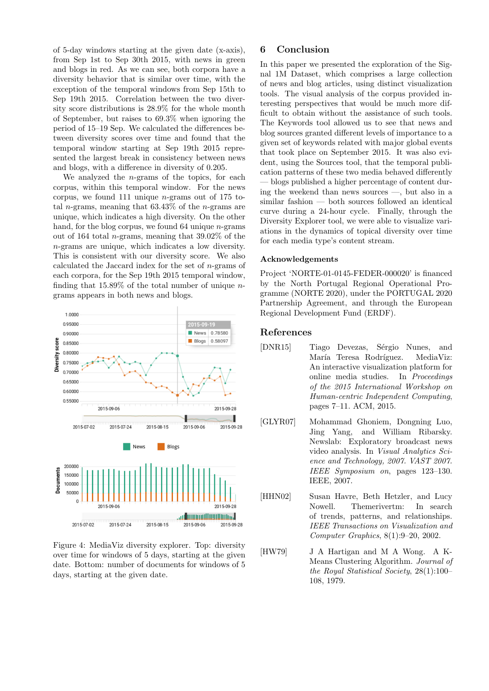of 5-day windows starting at the given date (x-axis), from Sep 1st to Sep 30th 2015, with news in green and blogs in red. As we can see, both corpora have a diversity behavior that is similar over time, with the exception of the temporal windows from Sep 15th to Sep 19th 2015. Correlation between the two diversity score distributions is 28.9% for the whole month of September, but raises to 69.3% when ignoring the period of 15–19 Sep. We calculated the differences between diversity scores over time and found that the temporal window starting at Sep 19th 2015 represented the largest break in consistency between news and blogs, with a difference in diversity of 0.205.

We analyzed the  $n$ -grams of the topics, for each corpus, within this temporal window. For the news corpus, we found 111 unique  $n$ -grams out of 175 total *n*-grams, meaning that  $63.43\%$  of the *n*-grams are unique, which indicates a high diversity. On the other hand, for the blog corpus, we found  $64$  unique *n*-grams out of 164 total n-grams, meaning that 39.02% of the n-grams are unique, which indicates a low diversity. This is consistent with our diversity score. We also calculated the Jaccard index for the set of  $n$ -grams of each corpora, for the Sep 19th 2015 temporal window, finding that  $15.89\%$  of the total number of unique *n*grams appears in both news and blogs.



<span id="page-4-4"></span>Figure 4: MediaViz diversity explorer. Top: diversity over time for windows of 5 days, starting at the given date. Bottom: number of documents for windows of 5 days, starting at the given date.

# 6 Conclusion

In this paper we presented the exploration of the Signal 1M Dataset, which comprises a large collection of news and blog articles, using distinct visualization tools. The visual analysis of the corpus provided interesting perspectives that would be much more difficult to obtain without the assistance of such tools. The Keywords tool allowed us to see that news and blog sources granted different levels of importance to a given set of keywords related with major global events that took place on September 2015. It was also evident, using the Sources tool, that the temporal publication patterns of these two media behaved differently — blogs published a higher percentage of content during the weekend than news sources —, but also in a similar fashion — both sources followed an identical curve during a 24-hour cycle. Finally, through the Diversity Explorer tool, we were able to visualize variations in the dynamics of topical diversity over time for each media type's content stream.

### Acknowledgements

Project 'NORTE-01-0145-FEDER-000020' is financed by the North Portugal Regional Operational Programme (NORTE 2020), under the PORTUGAL 2020 Partnership Agreement, and through the European Regional Development Fund (ERDF).

## References

- <span id="page-4-2"></span>[DNR15] Tiago Devezas, Sérgio Nunes, and María Teresa Rodríguez. MediaViz: An interactive visualization platform for online media studies. In Proceedings of the 2015 International Workshop on Human-centric Independent Computing, pages 7–11. ACM, 2015.
- <span id="page-4-1"></span>[GLYR07] Mohammad Ghoniem, Dongning Luo, Jing Yang, and William Ribarsky. Newslab: Exploratory broadcast news video analysis. In Visual Analytics Science and Technology, 2007. VAST 2007. IEEE Symposium on, pages 123–130. IEEE, 2007.
- <span id="page-4-0"></span>[HHN02] Susan Havre, Beth Hetzler, and Lucy Nowell. Themerivertm: In search of trends, patterns, and relationships. IEEE Transactions on Visualization and Computer Graphics, 8(1):9–20, 2002.
- <span id="page-4-3"></span>[HW79] J A Hartigan and M A Wong. A K-Means Clustering Algorithm. Journal of the Royal Statistical Society, 28(1):100– 108, 1979.